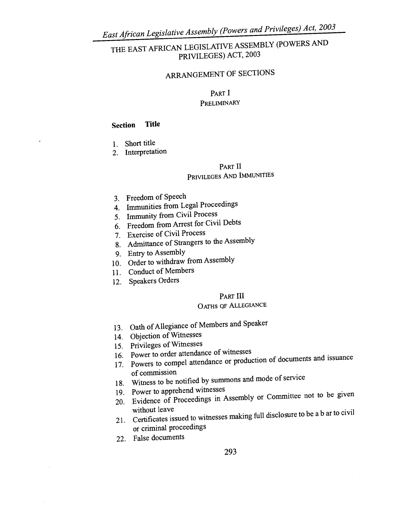# THE EAST AFRICAN LEGISLATIVE ASSEMBLY (POWERS AND PRIVILEGES) ACT, 2003

# ARRANGEMENT OF SECTIONS

### PART I PRELIMINARY

### **Section Title**

1. Short title

f,

2. Interpretation

# PART II PRIVILEGES AND IMMUNITIES

- 3. Freedom of Speech
- 4. Immunities from Legal Proceedings
- 5. Immunity from Civil Process
- 6. Freedom from Arrest for Civil Debts
- 7. Exercise of Civil Process
- 8. Admittance of Strangers to the Assembly
- 9. Entry to Assembly
- 10. Order to withdraw from Assembly
- 11. Conduct of Members
- 12. Speakers Orders

# PART III

### OATHS QF ALLEGIANCE

- 13. Oath of Allegiance of Members and Speaker
- 14. Objection of Witnesses
- 15. Privileges of Witnesses
- 16. Power to order attendance of witnesses
- 17. Powers to compel attendance or production of documents and issuance of commission
- 18. Witness to be notified by summons and mode of service
- 19. Power to apprehend witnesses
- 20. Evidence of Proceedings in Assembly or Committee not to be given without leave without leave
- 21. Certificates issued to witnesses making full disclosure to be a b ar to civil or criminal proceedings
- 22. False documents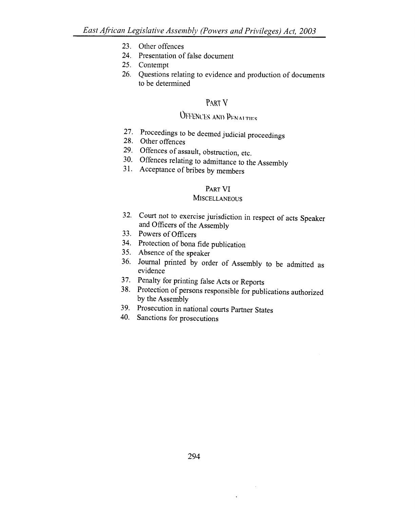- 23. Other offences
- 24. Presentation of false document
- 25. Contempt
- 26. Questions relating to evidence and production of documents to be determined

# PART V

# OFFENCES AND PENALTIES

- 27. Proceedings to be deemed judicial proceedings
- 28. Other offences
- 29. Offences of assault, obstruction, etc.
- 30. Offences relating to admittance to the Assembly
- 31. Acceptance of bribes by members

# PART VI

### **MISCELLANEOUS**

- 32. Court not to exercise jurisdiction in respect of acts Speaker and Officers of the Assembly
- 33. Powers of Officers
- 34. Protection of bona fide publication
- 35. Absence of the speaker
- 36. Journal printed by order of Assembly to be admitted as evidence
- 37. Penalty for printing false Acts or Reports
- 38. Protection of persons responsible for publications authorized by the Assembly
- 39. Prosecution in national courts Partner States
- 40. Sanctions for prosecutions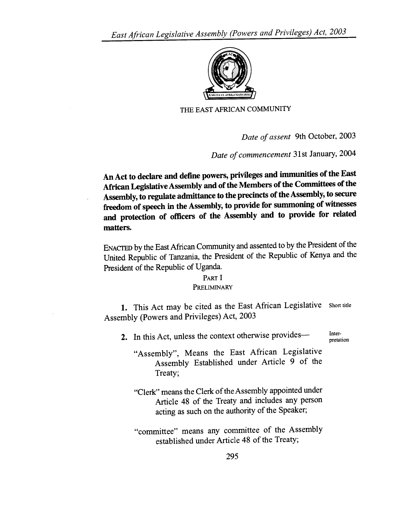

# THE EAST AFRICAN COMMUNITY

*Date of assent* 9th October, 2003

*Date of commencement* 31st January, 2004

**An Act to declare and define powers, privileges and immunities of the East African Legislative Assembly and of the Members of the Committees of the Assembly, to regulate admittance to the precincts of the Assembly, to secure freedom of speech in the Assembly, to provide for summoning of witnesses and protection of officers of the Assembly and to provide for related matters.** 

ENACTED by the East African Community and assented to by the President of the United Republic of Tanzania, the President of the Republic of Kenya and the President of the Republic of Uganda.

### PART I PRELIMINARY

1. This Act may be cited as the East African Legislative Short title Assembly (Powers and Privileges) Act, 2003

2. In this Act, unless the context otherwise provides— Inter-

pretation

- "Assembly", Means the East African Legislative Assembly Established under Article 9 of the Treaty;
- "Clerk" means the Clerk of the Assembly appointed under Article 48 of the Treaty and includes any person acting as such on the authority of the Speaker;
- "committee" means any committee of the Assembly established under Article 48 of the Treaty;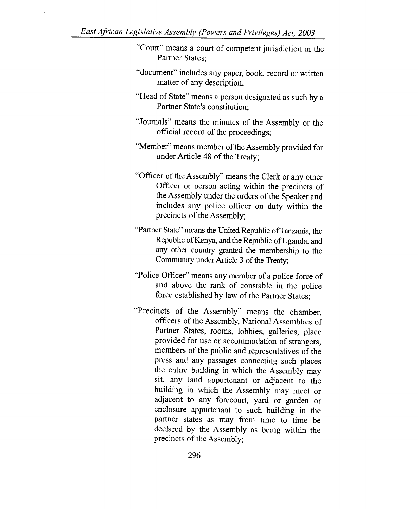- "Court" means a court of competent jurisdiction in the Partner States;
- "document" includes any paper, book, record or written matter of any description;
- "Head of State" means a person designated as such by a Partner State's constitution;
- "Journals" means the minutes of the Assembly or the official record of the proceedings;
- "Member" means member of the Assembly provided for under Article 48 of the Treaty;
- "Officer of the Assembly" means the Clerk or any other Officer or person acting within the precincts of the Assembly under the orders of the Speaker and includes any police officer on duty within the precincts of the Assembly;
- "Partner State" means the United Republic of Tanzania, the Republic of Kenya, and the Republic of Uganda, and any other country granted the membership to the Community under Article 3 of the Treaty;
- "Police Officer" means any member of a police force of and above the rank of constable in the police force established by law of the Partner States;
- "Precincts of the Assembly" means the chamber, officers of the Assembly, National Assemblies of Partner States, rooms, lobbies, galleries, place provided for use or accommodation of strangers, members of the public and representatives of the press and any passages connecting such places the entire building in which the Assembly may sit, any land appurtenant or adjacent to the building in which the Assembly may meet or adjacent to any forecourt, yard or garden or enclosure appurtenant to such building in the partner states as may from time to time be declared by the Assembly as being within the precincts of the Assembly;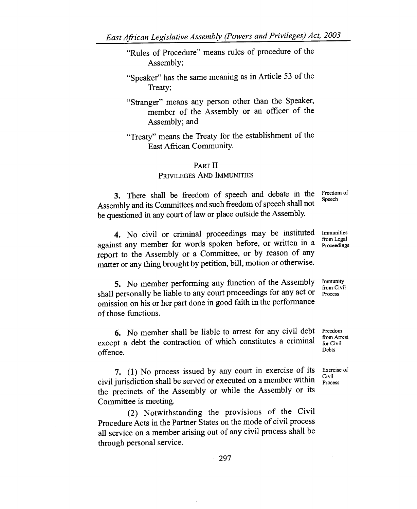- "Rules of Procedure" means rules of procedure of the Assembly;
- "Speaker" has the same meaning as in Article 53 of the Treaty;
- "Stranger" means any person other than the Speaker, member of the Assembly or an officer of the Assembly; and

"Treaty" means the Treaty for the establishment of the East African Community.

### PART **II**

### PRIVILEGES AND IMMUNITIES

3. There shall be freedom of speech and debate in the Assembly and its Committees and such freedom of speech shall not be questioned in any court of law or place outside the Assembly. Freedom of Speech

4. No civil or criminal proceedings may be instituted against any member for words spoken before, or written in a report to the Assembly or a Committee, or by reason of any matter or any thing brought by petition, bill, motion or otherwise. Immunities from Legal Proceedings

5. No member performing any function of the Assembly shall personally be liable to any court proceedings for any act or omission on his or her part done in good faith in the performance of those functions.

6. No member shall be liable to arrest for any civil debt except a debt the contraction of which constitutes a criminal offence.

7. (1) No process issued by any court in exercise of its civil jurisdiction shall be served or executed on a member within the precincts of the Assembly or while the Assembly or its Committee is meeting.

(2) Notwithstanding the provisions of the Civil Procedure Acts in the Partner States on the mode of civil process all service on a member arising out of any civil process shall be through personal service.

Immunity from Civil Process

Freedom from Arrest for Civil Debts

Exercise of Civil Process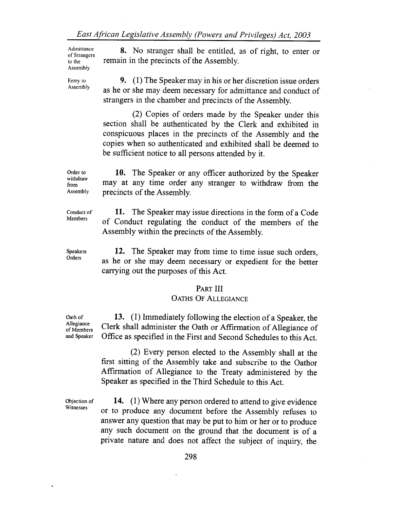Admittance of Strangers to the Assembly

Entry to Assembly

8. No stranger shall be entitled, as of right, to enter or remain in the precincts of the Assembly.

9. (1) The Speaker may in his or her discretion issue orders as he or she may deem necessary for admittance and conduct of strangers in the chamber and precincts of the Assembly.

(2) Copies of orders made by the Speaker under this section shall be authenticated by the Clerk and exhibited in conspicuous places in the precincts of the Assembly and the copies when so authenticated and exhibited shall be deemed to be sufficient notice to all persons attended by it.

Assembly 10. The Speaker or any officer authorized by the Speaker may at any time order any stranger to withdraw from the precincts of the Assembly.

Conduct of Members

Order to withdraw from

> 11. The Speaker may issue directions in the form of a Code of Conduct regulating the conduct of the members of the Assembly within the precincts of the Assembly.

Speakers **12.** The Speaker may from time to time issue such orders, as he or she may deem necessary or expedient for the better carrying out the purposes of this Act.

### PART III

## OATHS OF ALLEGIANCE

Oath of Allegiance of Members and Speaker 13. (1) Immediately following the election of a Speaker, the Clerk shall administer the Oath or Affirmation of Allegiance of Office as specified in the First and Second Schedules to this Act.

> (2) Every person elected to the Assembly shall at the first sitting of the Assembly take and subscribe to the Oathor Affirmation of Allegiance to the Treaty administered by the Speaker as specified in the Third Schedule to this Act.

Objection of Witnesses

**14. (1)** Where any person ordered to attend to give evidence or to produce any document before the Assembly refuses to answer any question that may be put to him or her or to produce any such document on the ground that the document is of a private nature and does not affect the subject of inquiry, the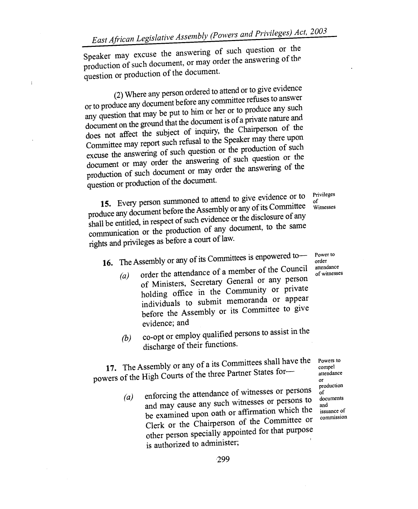Speaker may excuse the answering of such question or the production of such document, or may order the answering of the question or production of the document.

 $\mathfrak{t}$ 

(2) Where any person ordered to attend or to give evidence or to produce any document before any committee refuses to answer any question that may be put to him or her or to produce any such document on the ground that the document is of a private nature and does not affect the subject of inquiry, the Chairperson of the Committee may report such refusal to the Speaker may there upon excuse the answering of such question or the production of such document or may order the answering of such question or the production of such document or may order the answering of the question or production of the document.

> Privileges of Witnesses

**15.** Every person summoned to attend to give evidence or to produce any document before the Assembly or any of its Committee shall be entitled, in respect of such evidence or the disclosure of any communication or the production of any document, to the same rights and privileges as before a court of law.

# 16. The Assembly or any of its Committees is enpowered to-

- (a) order the attendance of a member of the Council of Ministers, Secretary General or any person holding office in the Community or private individuals to submit memoranda or appear before the Assembly or its Committee to give evidence; and
- (b) co-opt or employ qualified persons to assist in the discharge of their functions.

**17.** The Assembly or any of a its Committees shall have the powers of the High Courts of the three Partner States for—

> *(a)* enforcing the attendance of witnesses or persons and may cause any such witnesses or persons to be examined upon oath or affirmation which the Clerk or the Chairperson of the Committee or other person specially appointed for that purpose is authorized to administer;

Powers to compel attendance or production of documents and issuance of commission

Power to order attendance of witnesses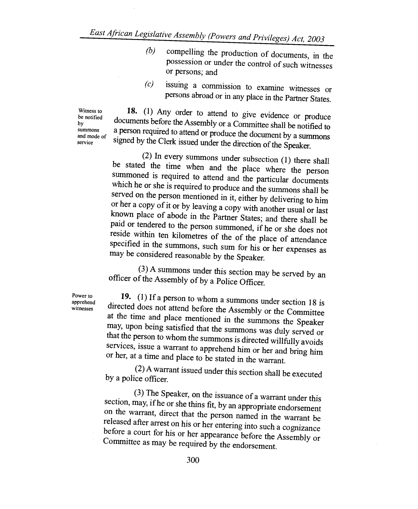*East African Legislative Assembly (Powers and Privileges) Act, <sup>2003</sup>*

- compelling the production of documents, in the  $(b)$ possession or under the control of such witnesses or persons; and
- *(c)* issuing a commission to examine witnesses or persons abroad or in any place in the Partner States.

Witness to be notified by summons and mode of service

**18.** (1) Any order to attend to give evidence or produce documents before the Assembly or a Committee shall be notified to a person required to attend or produce the document by a summons signed by the Clerk issued under the direction of the Speaker.

(2) In every summons under subsection (1) there shall be stated the time when and the place where the person summoned is required to attend and the particular documents which he or she is required to produce and the summons shall be served on the person mentioned in it, either by delivering to him or her a copy of it or by leaving a copy with another usual or last known place of abode in the Partner States; and there shall be paid or tendered to the person summoned, if he or she does not reside within ten kilometres of the of the place of attendance specified in the summons, such sum for his or her expenses as may be considered reasonable by the Speaker.

(3) A summons under this section may be served by an officer of the Assembly of by a Police Officer.

Power to apprehend witnesses

**19.** (1) If a person to whom a summons under section 18 is directed does not attend before the Assembly or the Committee at the time and place mentioned in the summons the Speaker may, upon being satisfied that the summons was duly served or that the person to whom the summons is directed willfully avoids services, issue a warrant to apprehend him or her and bring him or her, at a time and place to be stated in the warrant.

(2)A warrant issued under this section shall be executed by a police officer.

(3) The Speaker, on the issuance of a warrant under this section, may, if he or she thins fit, by an appropriate endorsement on the warrant, direct that the person named in the warrant be released after arrest on his or her entering into such a cognizance before a court for his or her appearance before the Assembly or Committee as may be required by the endorsement.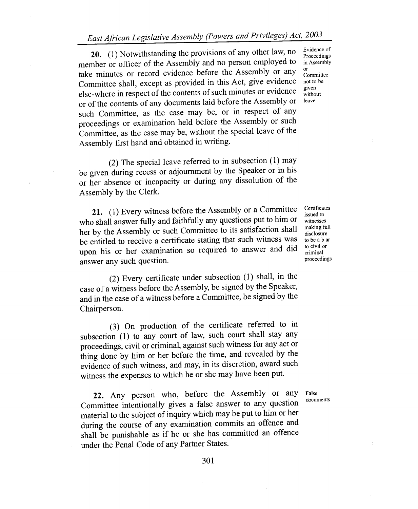20. (1) Notwithstanding the provisions of any other law, no member or officer of the Assembly and no person employed to take minutes or record evidence before the Assembly or any Committee shall, except as provided in this Act, give evidence else-where in respect of the contents of such minutes or evidence or of the contents of any documents laid before the Assembly or such Committee, as the case may be, or in respect of any proceedings or examination held before the Assembly or such Committee, as the case may be, without the special leave of the Assembly first hand and obtained in writing.

(2) The special leave referred to in subsection (1) may be given during recess or adjournment by the Speaker or in his or her absence or incapacity or during any dissolution of the Assembly by the Clerk.

21. (1) Every witness before the Assembly or a Committee who shall answer fully and faithfully any questions put to him or her by the Assembly or such Committee to its satisfaction shall be entitled to receive a certificate stating that such witness was upon his or her examination so required to answer and did answer any such question.

(2) Every certificate under subsection **(1)** shall, in the case of a witness before the Assembly, be signed by the Speaker, and in the case of a witness before a Committee, be signed by the Chairperson.

(3) On production of the certificate referred to in subsection (1) to any court of law, such court shall stay any proceedings, civil or criminal, against such witness for any act or thing done by him or her before the time, and revealed by the evidence of such witness, and may, in its discretion, award such witness the expenses to which he or she may have been put.

22. Any person who, before the Assembly or any False Committee intentionally gives a false answer to any question material to the subject of inquiry which may be put to him or her during the course of any examination commits an offence and shall be punishable as if he or she has committed an offence under the Penal Code of any Partner States.

Evidence of Proceedings in Assembly or Committee not to be given

without leave

Certificates issued to witnesses making full disclosure to be a b ar to civil or criminal proceedings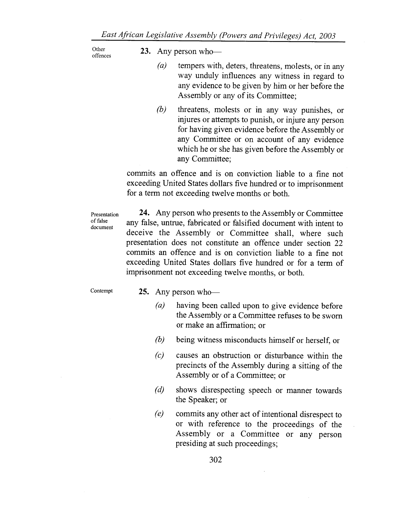Other offences 23. Any person who—

- $(a)$  tempers with, deters, threatens, molests, or in any way unduly influences any witness in regard to any evidence to be given by him or her before the Assembly or any of its Committee;
- (b) threatens, molests or in any way punishes, or injures or attempts to punish, or injure any person for having given evidence before the Assembly or any Committee or on account of any evidence which he or she has given before the Assembly or any Committee;

commits an offence and is on conviction liable to a fine not exceeding United States dollars five hundred or to imprisonment for a term not exceeding twelve months or both.

Presentation of false document

24. Any person who presents to the Assembly or Committee any false, untrue, fabricated or falsified document with intent to deceive the Assembly or Committee shall, where such presentation does not constitute an offence under section 22 commits an offence and is on conviction liable to a fine not exceeding United States dollars five hundred or for a term of imprisonment not exceeding twelve months, or both.

Contempt

- 25. Any person who—
	- (a) having been called upon to give evidence before the Assembly or a Committee refuses to be sworn or make an affirmation; or
	- (b) being witness misconducts himself or herself, or
	- (c) causes an obstruction or disturbance within the precincts of the Assembly during a sitting of the Assembly or of a Committee; or
	- (d) shows disrespecting speech or manner towards the Speaker; or
	- (e) commits any other act of intentional disrespect to or with reference to the proceedings of the Assembly or a Committee or any person presiding at such proceedings;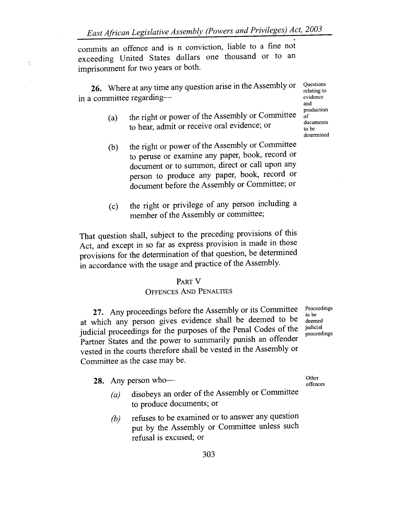commits an offence and is n conviction, liable to a fine not exceeding United States dollars one thousand or to an imprisonment for two years or both.

Å

**26.** Where at any time any question arise in the Assembly or in a committee regarding-

- (a) the right or power of the Assembly or Committee to hear, admit or receive oral evidence; or
- (b) the right or power of the Assembly or Committee to peruse or examine any paper, book, record or document or to summon, direct or call upon any person to produce any paper, book, record or document before the Assembly or Committee; or
- (c) the right or privilege of any person including a member of the Assembly or committee;

That question shall, subject to the preceding provisions of this Act, and except in so far as express provision is made in those provisions for the determination of that question, be determined in accordance with the usage and practice of the Assembly.

# PART V

### OFFENCES AND PENALTIES

27. Any proceedings before the Assembly or its Committee at which any person gives evidence shall be deemed to be judicial proceedings for the purposes of the Penal Codes of the Partner States and the power to summarily punish an offender vested in the courts therefore shall be vested in the Assembly or Committee as the case may be.

28. Any person who—

- (a) disobeys an order of the Assembly or Committee to produce documents; or
- (b) refuses to be examined or to answer any question put by the Assembly or Committee unless such refusal is excused; or

Proceedings to be deemed judicial proceedings

Questions relating to evidence and production of documents to be determined

Other offences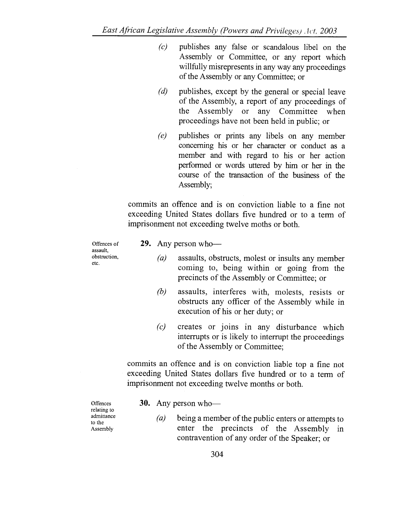- (c) publishes any false or scandalous libel on the Assembly or Committee, or any report which willfully misrepresents in any way any proceedings of the Assembly or any Committee; or
- (d) publishes, except by the general or special leave of the Assembly, a report of any proceedings of the Assembly or any Committee when proceedings have not been held in public; or
- (e) publishes or prints any libels on any member concerning his or her character or conduct as a member and with regard to his or her action performed or words uttered by him or her in the course of the transaction of the business of the Assembly;

commits an offence and is on conviction liable to a fine not exceeding United States dollars five hundred or to a term of imprisonment not exceeding twelve moths or both.

Offences of assault, obstruction, etc.

- **29.** Any person who—
	- (a) assaults, obstructs, molest or insults any member coming to, being within or going from the precincts of the Assembly or Committee; or
	- (b) assaults, interferes with, molests, resists or obstructs any officer of the Assembly while in execution of his or her duty; or
	- (c) creates or joins in any disturbance which interrupts or is likely to interrupt the proceedings of the Assembly or Committee;

commits an offence and is on conviction liable top a fine not exceeding United States dollars five hundred or to a term of imprisonment not exceeding twelve months or both.

relating to

- Offences **30.** Any person who—
- admittance *(a)* being a member of the public enters or attempts to the Assembly enter the precincts of the Assembly in enter the precincts of the Assembly in contravention of any order of the Speaker; or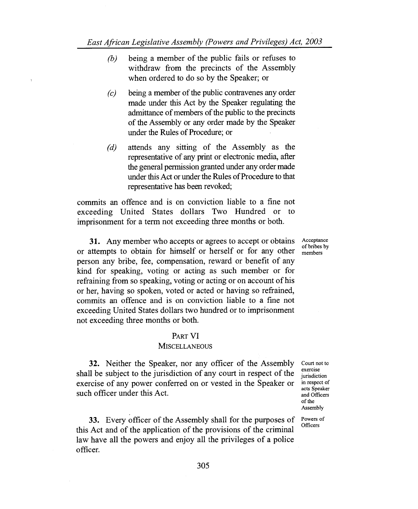(b) being a member of the public fails or refuses to withdraw from the precincts of the Assembly when ordered to do so by the Speaker; or

 $\overline{\mathbf{a}}$ 

- (c) being a member of the public contravenes any order made under this Act by the Speaker regulating the admittance of members of the public to the precincts of the Assembly or any order made by the Speaker under the Rules of Procedure; or
- (d) attends any sitting of the Assembly as the representative of any print or electronic media, after the general permission granted under any order made under this Act or under the Rules of Procedure to that representative has been revoked;

commits an offence and is on conviction liable to a fine not exceeding United States dollars Two Hundred or to imprisonment for a term not exceeding three months or both.

31. Any member who accepts or agrees to accept or obtains or attempts to obtain for himself or herself or for any other person any bribe, fee, compensation, reward or benefit of any kind for speaking, voting or acting as such member or for refraining from so speaking, voting or acting or on account of his or her, having so spoken, voted or acted or having so refrained, commits an offence and is on conviction liable to a fine not exceeding United States dollars two hundred or to imprisonment not exceeding three months or both.

### PART VI

### **MISCELLANEOUS**

32. Neither the Speaker, nor any officer of the Assembly shall be subject to the jurisdiction of any court in respect of the exercise of any power conferred on or vested in the Speaker or such officer under this Act.

Court not to exercise jurisdiction in respect of acts Speaker and Officers of the Assembly

Powers of **Officers** 

33. Every officer of the Assembly shall for the purposes of this Act and of the application of the provisions of the criminal law have all the powers and enjoy all the privileges of a police officer.

Acceptance of bribes by members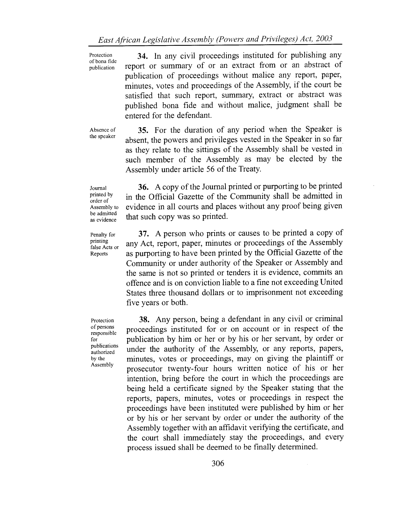of bona fide publication report or summary of or an extract from or an abstract of publication of proceedings without malice any report, paper, minutes, votes and proceedings of the Assembly, if the court be satisfied that such report, summary, extract or abstract was published bona fide and without malice, judgment shall be entered for the defendant.

Absence of the speaker

Protection

35. For the duration of any period when the Speaker is absent, the powers and privileges vested in the Speaker in so far as they relate to the sittings of the Assembly shall be vested in such member of the Assembly as may be elected by the Assembly under article 56 of the Treaty.

34. In any civil proceedings instituted for publishing any

Journal printed by order of Assembly to be admitted as evidence

36. A copy of the Journal printed or purporting to be printed in the Official Gazette of the Community shall be admitted in evidence in all courts and places without any proof being given that such copy was so printed.

Penalty for printing false Acts or Reports

37. A person who prints or causes to be printed a copy of any Act, report, paper, minutes or proceedings of the Assembly as purporting to have been printed by the Official Gazette of the Community or under authority of the Speaker or Assembly and the same is not so printed or tenders it is evidence, commits an offence and is on conviction liable to a fine not exceeding United States three thousand dollars or to imprisonment not exceeding five years or both.

38. Any person, being a defendant in any civil or criminal proceedings instituted for or on account or in respect of the publication by him or her or by his or her servant, by order or under the authority of the Assembly, or any reports, papers, minutes, votes or proceedings, may on giving the plaintiff or prosecutor twenty-four hours written notice of his or her intention, bring before the court in which the proceedings are being held a certificate signed by the Speaker stating that the reports, papers, minutes, votes or proceedings in respect the proceedings have been instituted were published by him or her or by his or her servant by order or under the authority of the Assembly together with an affidavit verifying the certificate, and the court shall immediately stay the proceedings, and every process issued shall be deemed to be finally determined.

of persons responsible publications authorized by the Assembly

Protection

for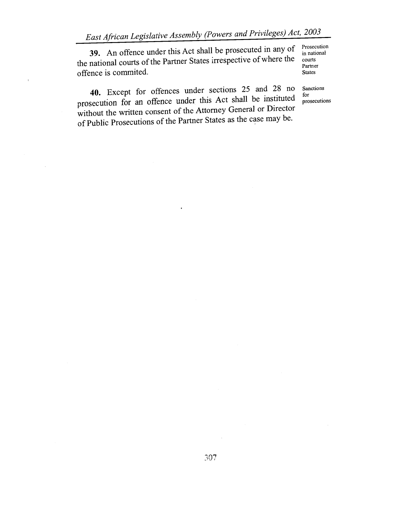39. An offence under this Act shall be prosecuted in any of  $\frac{P_{\text{rosecution}}}{\text{in national}}$ the national courts of the Partner States irrespective of where the offence is commited.

Partner States

Sanctions for prosecutions

40. Except for offences under sections 25 and 28 no prosecution for an offence under this Act shall be instituted without the written consent of the Attorney General or Director of Public Prosecutions of the Partner States as the case may be.

 $\overline{\phantom{a}}$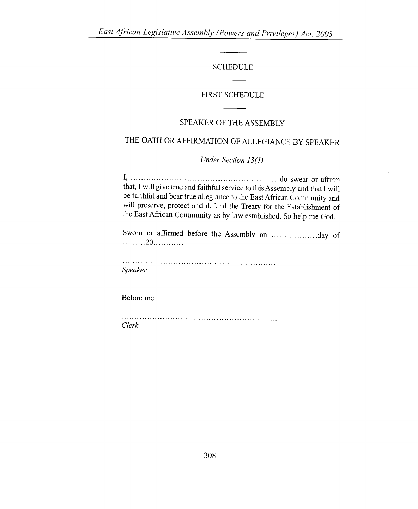#### SCHEDULE

### FIRST SCHEDULE

### SPEAKER OF THE ASSEMBLY

# THE OATH OR AFFIRMATION OF ALLEGIANCE BY SPEAKER

### *Under Section 13(1)*

do swear or affirm that, I will give true and faithful service to this Assembly and that I will be faithful and bear true allegiance to the East African Community and will preserve, protect and defend the Treaty for the Establishment of the East African Community as by law established. So help me God.

Sworn or affirmed before the Assembly on day of  $\ldots \ldots \ldots 20 \ldots \ldots \ldots$ 

*Speaker* 

Before me

*Clerk*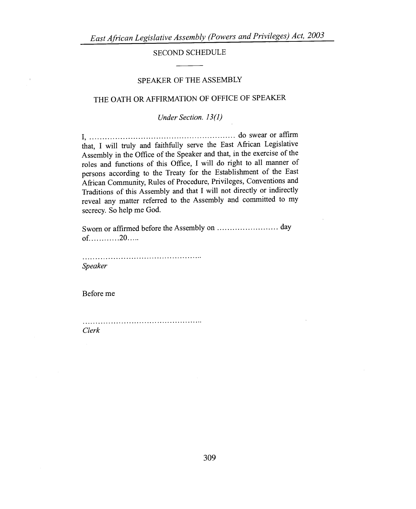*East African Legislative Assembly (Powers and Privileges) Act, 2003* 

SECOND SCHEDULE

# SPEAKER OF THE ASSEMBLY

# THE OATH OR AFFIRMATION OF OFFICE OF SPEAKER

*Under Section. 13(1)* 

do swear or affirm that, I will truly and faithfully serve the East African Legislative Assembly in the Office of the Speaker and that, in the exercise of the roles and functions of this Office, I will do right to all manner of persons according to the Treaty for the Establishment of the East African Community, Rules of Procedure, Privileges, Conventions and Traditions of this Assembly and that I will not directly or indirectly reveal any matter referred to the Assembly and committed to my secrecy. So help me God.

Sworn or affirmed before the Assembly on day  $of$ ..............20.....

*Speaker* 

Before me

*Clerk*